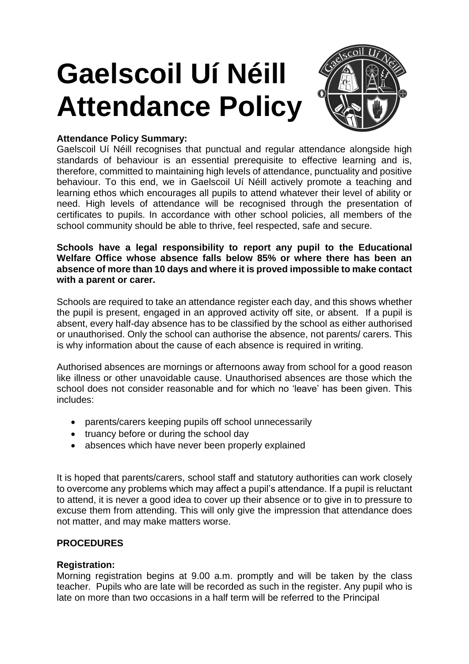# **Gaelscoil Uí Néill Attendance Policy**



## **Attendance Policy Summary:**

Gaelscoil Uí Néill recognises that punctual and regular attendance alongside high standards of behaviour is an essential prerequisite to effective learning and is, therefore, committed to maintaining high levels of attendance, punctuality and positive behaviour. To this end, we in Gaelscoil Uí Néill actively promote a teaching and learning ethos which encourages all pupils to attend whatever their level of ability or need. High levels of attendance will be recognised through the presentation of certificates to pupils. In accordance with other school policies, all members of the school community should be able to thrive, feel respected, safe and secure.

**Schools have a legal responsibility to report any pupil to the Educational Welfare Office whose absence falls below 85% or where there has been an absence of more than 10 days and where it is proved impossible to make contact with a parent or carer.**

Schools are required to take an attendance register each day, and this shows whether the pupil is present, engaged in an approved activity off site, or absent. If a pupil is absent, every half-day absence has to be classified by the school as either authorised or unauthorised. Only the school can authorise the absence, not parents/ carers. This is why information about the cause of each absence is required in writing.

Authorised absences are mornings or afternoons away from school for a good reason like illness or other unavoidable cause. Unauthorised absences are those which the school does not consider reasonable and for which no 'leave' has been given. This includes:

- parents/carers keeping pupils off school unnecessarily
- truancy before or during the school day
- absences which have never been properly explained

It is hoped that parents/carers, school staff and statutory authorities can work closely to overcome any problems which may affect a pupil's attendance. If a pupil is reluctant to attend, it is never a good idea to cover up their absence or to give in to pressure to excuse them from attending. This will only give the impression that attendance does not matter, and may make matters worse.

### **PROCEDURES**

### **Registration:**

Morning registration begins at 9.00 a.m. promptly and will be taken by the class teacher. Pupils who are late will be recorded as such in the register. Any pupil who is late on more than two occasions in a half term will be referred to the Principal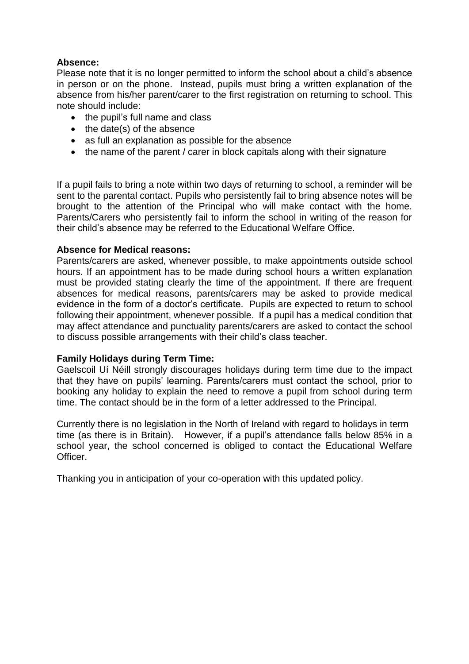### **Absence:**

Please note that it is no longer permitted to inform the school about a child's absence in person or on the phone. Instead, pupils must bring a written explanation of the absence from his/her parent/carer to the first registration on returning to school. This note should include:

- the pupil's full name and class
- $\bullet$  the date(s) of the absence
- as full an explanation as possible for the absence
- the name of the parent / carer in block capitals along with their signature

If a pupil fails to bring a note within two days of returning to school, a reminder will be sent to the parental contact. Pupils who persistently fail to bring absence notes will be brought to the attention of the Principal who will make contact with the home. Parents/Carers who persistently fail to inform the school in writing of the reason for their child's absence may be referred to the Educational Welfare Office.

#### **Absence for Medical reasons:**

Parents/carers are asked, whenever possible, to make appointments outside school hours. If an appointment has to be made during school hours a written explanation must be provided stating clearly the time of the appointment. If there are frequent absences for medical reasons, parents/carers may be asked to provide medical evidence in the form of a doctor's certificate. Pupils are expected to return to school following their appointment, whenever possible. If a pupil has a medical condition that may affect attendance and punctuality parents/carers are asked to contact the school to discuss possible arrangements with their child's class teacher.

### **Family Holidays during Term Time:**

Gaelscoil Uí Néill strongly discourages holidays during term time due to the impact that they have on pupils' learning. Parents/carers must contact the school, prior to booking any holiday to explain the need to remove a pupil from school during term time. The contact should be in the form of a letter addressed to the Principal.

Currently there is no legislation in the North of Ireland with regard to holidays in term time (as there is in Britain). However, if a pupil's attendance falls below 85% in a school year, the school concerned is obliged to contact the Educational Welfare Officer.

Thanking you in anticipation of your co-operation with this updated policy.